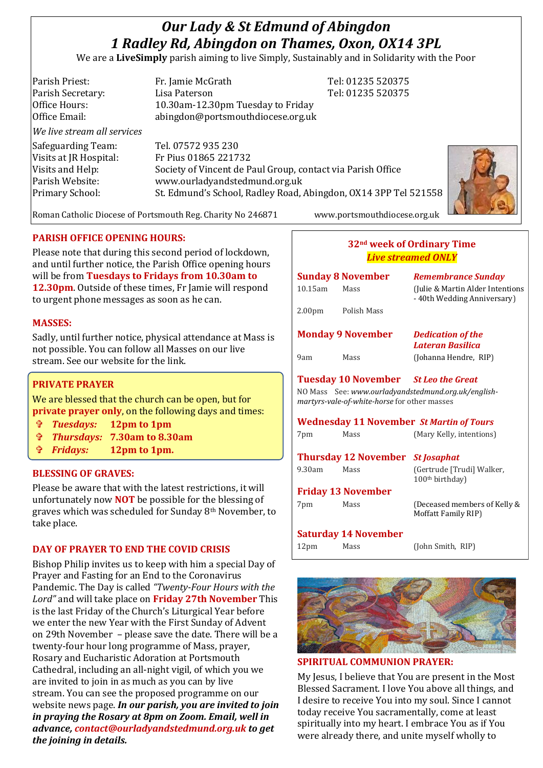# *Our Lady & St Edmund of Abingdon 1 Radley Rd, Abingdon on Thames, Oxon, OX14 3PL*

We are a **LiveSimply** parish aiming to live Simply, Sustainably and in Solidarity with the Poor

| Parish Priest:              | Fr. Jamie McGrath                                               | Tel: 01235 520375 |  |
|-----------------------------|-----------------------------------------------------------------|-------------------|--|
| Parish Secretary:           | Lisa Paterson                                                   | Tel: 01235 520375 |  |
| Office Hours:               | 10.30am-12.30pm Tuesday to Friday                               |                   |  |
| Office Email:               | abingdon@portsmouthdiocese.org.uk                               |                   |  |
| We live stream all services |                                                                 |                   |  |
| Safeguarding Team:          | Tel. 07572 935 230                                              |                   |  |
| Visits at JR Hospital:      | Fr Pius 01865 221732                                            |                   |  |
| Visits and Help:            | Society of Vincent de Paul Group, contact via Parish Office     |                   |  |
| Parish Website:             | www.ourladyandstedmund.org.uk                                   |                   |  |
| Primary School:             | St. Edmund's School, Radley Road, Abingdon, OX14 3PP Tel 521558 |                   |  |
|                             |                                                                 |                   |  |

Roman Catholic Diocese of Portsmouth Reg. Charity No 246871 www.portsmouthdiocese.org.uk

## **PARISH OFFICE OPENING HOURS:**

Please note that during this second period of lockdown, and until further notice, the Parish Office opening hours will be from **Tuesdays to Fridays from 10.30am to 12.30pm**. Outside of these times, Fr Jamie will respond to urgent phone messages as soon as he can.

## **MASSES:**

Sadly, until further notice, physical attendance at Mass is not possible. You can follow all Masses on our live stream. See our website for the link.

## **PRIVATE PRAYER**

We are blessed that the church can be open, but for **private prayer only**, on the following days and times:

- *Tuesdays:* **12pm to 1pm**
- *Thursdays:* **7.30am to 8.30am**
- *Fridays:* **12pm to 1pm.**

#### **BLESSING OF GRAVES:**

Please be aware that with the latest restrictions, it will unfortunately now **NOT** be possible for the blessing of graves which was scheduled for Sunday 8th November, to take place.

## **DAY OF PRAYER TO END THE COVID CRISIS**

Bishop Philip invites us to keep with him a special Day of Prayer and Fasting for an End to the Coronavirus Pandemic. The Day is called *"Twenty-Four Hours with the Lord"* and will take place on **Friday 27th November** This is the last Friday of the Church's Liturgical Year before we enter the new Year with the First Sunday of Advent on 29th November – please save the date. There will be a twenty-four hour long programme of Mass, prayer, Rosary and Eucharistic Adoration at Portsmouth Cathedral, including an all-night vigil, of which you we are invited to join in as much as you can by live stream. You can see the proposed programme on our website news page. *In our parish, you are invited to join in praying the Rosary at 8pm on Zoom. Email, well in advance, contact@ourladyandstedmund.org.uk to get the joining in details.*

## **32nd week of Ordinary Time** *Live streamed ONLY*

| <b>Sunday 8 November</b><br>$10.15$ am<br>Mass                                                                                                                                                        |             | <b>Remembrance Sunday</b><br>(Julie & Martin Alder Intentions)<br>- 40th Wedding Anniversary) |  |  |
|-------------------------------------------------------------------------------------------------------------------------------------------------------------------------------------------------------|-------------|-----------------------------------------------------------------------------------------------|--|--|
| 2.00 <sub>pm</sub>                                                                                                                                                                                    | Polish Mass |                                                                                               |  |  |
| <b>Monday 9 November</b>                                                                                                                                                                              |             | <b>Dedication of the</b><br><b>Lateran Basilica</b>                                           |  |  |
| 9am                                                                                                                                                                                                   | Mass        | (Johanna Hendre, RIP)                                                                         |  |  |
| <b>Tuesday 10 November</b> St Leo the Great<br>NO Mass See: www.ourladyandstedmund.org.uk/english-<br>martyrs-vale-of-white-horse for other masses<br><b>Wednesday 11 November St Martin of Tours</b> |             |                                                                                               |  |  |
| 7pm                                                                                                                                                                                                   | Mass        | (Mary Kelly, intentions)                                                                      |  |  |
| <b>Thursday 12 November St Josaphat</b>                                                                                                                                                               |             |                                                                                               |  |  |
| 9.30am                                                                                                                                                                                                | Mass        | (Gertrude [Trudi] Walker,<br>100 <sup>th</sup> birthday)                                      |  |  |
| <b>Friday 13 November</b>                                                                                                                                                                             |             |                                                                                               |  |  |
| 7pm                                                                                                                                                                                                   | Mass        | (Deceased members of Kelly &<br>Moffatt Family RIP)                                           |  |  |
| <b>Saturday 14 November</b>                                                                                                                                                                           |             |                                                                                               |  |  |
| 12 <sub>pm</sub>                                                                                                                                                                                      | Mass        | (John Smith, RIP)                                                                             |  |  |



**SPIRITUAL COMMUNION PRAYER:** 

My Jesus, I believe that You are present in the Most Blessed Sacrament. I love You above all things, and I desire to receive You into my soul. Since I cannot today receive You sacramentally, come at least spiritually into my heart. I embrace You as if You were already there, and unite myself wholly to